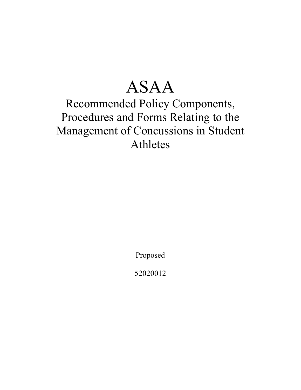# ASAA

## Recommended Policy Components, Procedures and Forms Relating to the Management of Concussions in Student Athletes

Proposed

52020012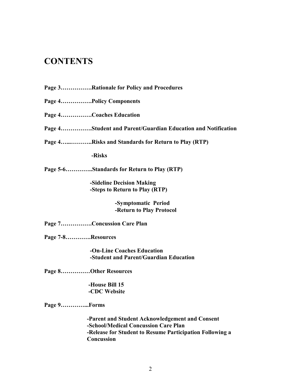## **CONTENTS**

- **Page 3…………….Rationale for Policy and Procedures**
- **Page 4…………….Policy Components**
- **Page 4…………….Coaches Education**

**Page 4…………….Student and Parent/Guardian Education and Notification** 

**Page 4…...………..Risks and Standards for Return to Play (RTP)** 

 **-Risks** 

**Page 5-6…………..Standards for Return to Play (RTP)** 

 **-Sideline Decision Making -Steps to Return to Play (RTP)** 

> **-Symptomatic Period -Return to Play Protocol**

**Page 7…………….Concussion Care Plan** 

**Page 7-8………….Resources** 

 **-On-Line Coaches Education -Student and Parent/Guardian Education** 

**Page 8……………Other Resources** 

 **-House Bill 15 -CDC Website** 

**Page 9…………...Forms** 

 **-Parent and Student Acknowledgement and Consent -School/Medical Concussion Care Plan -Release for Student to Resume Participation Following a Concussion**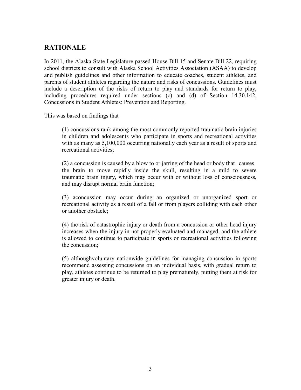## **RATIONALE**

In 2011, the Alaska State Legislature passed House Bill 15 and Senate Bill 22, requiring school districts to consult with Alaska School Activities Association (ASAA) to develop and publish guidelines and other information to educate coaches, student athletes, and parents of student athletes regarding the nature and risks of concussions. Guidelines must include a description of the risks of return to play and standards for return to play, including procedures required under sections (c) and (d) of Section 14.30.142, Concussions in Student Athletes: Prevention and Reporting.

This was based on findings that

 (1) concussions rank among the most commonly reported traumatic brain injuries in children and adolescents who participate in sports and recreational activities with as many as  $5,100,000$  occurring nationally each year as a result of sports and recreational activities;

 (2) a concussion is caused by a blow to or jarring of the head or body that causes the brain to move rapidly inside the skull, resulting in a mild to severe traumatic brain injury, which may occur with or without loss of consciousness, and may disrupt normal brain function;

 (3) aconcussion may occur during an organized or unorganized sport or recreational activity as a result of a fall or from players colliding with each other or another obstacle;

 (4) the risk of catastrophic injury or death from a concussion or other head injury increases when the injury in not properly evaluated and managed, and the athlete is allowed to continue to participate in sports or recreational activities following the concussion;

 (5) althoughvoluntary nationwide guidelines for managing concussion in sports recommend assessing concussions on an individual basis, with gradual return to play, athletes continue to be returned to play prematurely, putting them at risk for greater injury or death.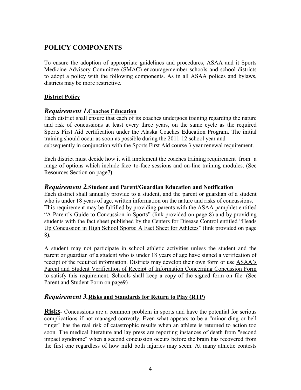## **POLICY COMPONENTS**

To ensure the adoption of appropriate guidelines and procedures, ASAA and it Sports Medicine Advisory Committee (SMAC) encouragemember schools and school districts to adopt a policy with the following components. As in all ASAA polices and bylaws, districts may be more restrictive.

#### **District Policy**

#### *Requirement 1***.Coaches Education**

Each district shall ensure that each of its coaches undergoes training regarding the nature and risk of concussions at least every three years, on the same cycle as the required Sports First Aid certification under the Alaska Coaches Education Program. The initial training should occur as soon as possible during the 2011-12 school year and subsequently in conjunction with the Sports First Aid course 3 year renewal requirement.

Each district must decide how it will implement the coaches training requirement from a range of options which include face–to-face sessions and on-line training modules. (See Resources Section on page7**)**

#### *Requirement 2.***Student and Parent/Guardian Education and Notification**

Each district shall annually provide to a student, and the parent or guardian of a student who is under 18 years of age, written information on the nature and risks of concussions. This requirement may be fulfilled by providing parents with the ASAA pamphlet entitled "A Parent's Guide to Concussion in Sports" (link provided on page 8) and by providing students with the fact sheet published by the Centers for Disease Control entitled "Heads Up Concussion in High School Sports: A Fact Sheet for Athletes" (link provided on page 8**).**

A student may not participate in school athletic activities unless the student and the parent or guardian of a student who is under 18 years of age have signed a verification of receipt of the required information. Districts may develop their own form or use ASAA's Parent and Student Verification of Receipt of Information Concerning Concussion Form to satisfy this requirement. Schools shall keep a copy of the signed form on file. (See Parent and Student Form on page9)

#### *Requirement 3.***Risks and Standards for Return to Play (RTP)**

**Risks**- Concussions are a common problem in sports and have the potential for serious complications if not managed correctly. Even what appears to be a "minor ding or bell ringer" has the real risk of catastrophic results when an athlete is returned to action too soon. The medical literature and lay press are reporting instances of death from "second impact syndrome" when a second concussion occurs before the brain has recovered from the first one regardless of how mild both injuries may seem. At many athletic contests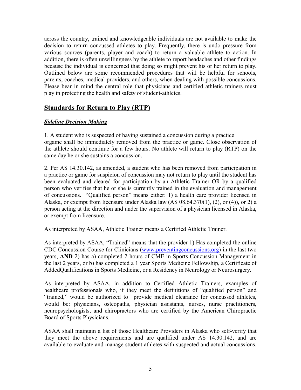across the country, trained and knowledgeable individuals are not available to make the decision to return concussed athletes to play. Frequently, there is undo pressure from various sources (parents, player and coach) to return a valuable athlete to action. In addition, there is often unwillingness by the athlete to report headaches and other findings because the individual is concerned that doing so might prevent his or her return to play. Outlined below are some recommended procedures that will be helpful for schools, parents, coaches, medical providers, and others, when dealing with possible concussions. Please bear in mind the central role that physicians and certified athletic trainers must play in protecting the health and safety of student-athletes.

#### **Standards for Return to Play (RTP)**

#### *Sideline Decision Making*

1. A student who is suspected of having sustained a concussion during a practice orgame shall be immediately removed from the practice or game. Close observation of the athlete should continue for a few hours. No athlete will return to play (RTP) on the same day he or she sustains a concussion.

2. Per AS 14.30.142, as amended, a student who has been removed from participation in a practice or game for suspicion of concussion may not return to play until the student has been evaluated and cleared for participation by an Athletic Trainer OR by a qualified person who verifies that he or she is currently trained in the evaluation and management of concussions. "Qualified person" means either: 1) a health care provider licensed in Alaska, or exempt from licensure under Alaska law (AS 08.64.370(1), (2), or (4)), or 2) a person acting at the direction and under the supervision of a physician licensed in Alaska, or exempt from licensure.

As interpreted by ASAA, Athletic Trainer means a Certified Athletic Trainer.

As interpreted by ASAA, "Trained" means that the provider 1) Has completed the online CDC Concussion Course for Clinicians (www.preventingconcussions.org) in the last two years, **AND** 2) has a) completed 2 hours of CME in Sports Concussion Management in the last 2 years, or b) has completed a 1 year Sports Medicine Fellowship, a Certificate of AddedQualifications in Sports Medicine, or a Residency in Neurology or Neurosurgery.

As interpreted by ASAA, in addition to Certified Athletic Trainers, examples of healthcare professionals who, if they meet the definitions of "qualified person" and "trained," would be authorized to provide medical clearance for concussed athletes, would be: physicians, osteopaths, physician assistants, nurses, nurse practitioners, neuropsychologists, and chiropractors who are certified by the American Chiropractic Board of Sports Physicians.

ASAA shall maintain a list of those Healthcare Providers in Alaska who self-verify that they meet the above requirements and are qualified under AS 14.30.142, and are available to evaluate and manage student athletes with suspected and actual concussions.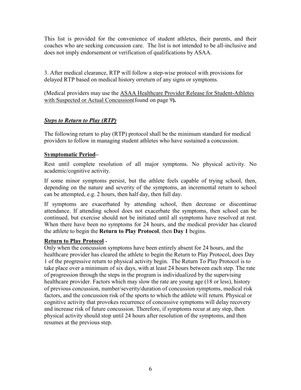This list is provided for the convenience of student athletes, their parents, and their coaches who are seeking concussion care. The list is not intended to be all-inclusive and does not imply endorsement or verification of qualifications by ASAA.

3. After medical clearance, RTP will follow a step-wise protocol with provisions for delayed RTP based on medical history orreturn of any signs or symptoms.

(Medical providers may use the ASAA Healthcare Provider Release for Student-Athletes with Suspected or Actual Concussion(found on page 9**).** 

#### *Steps to Return to Play (RTP)*

The following return to play (RTP) protocol shall be the minimum standard for medical providers to follow in managing student athletes who have sustained a concussion.

#### **Symptomatic Period–**

Rest until complete resolution of all major symptoms. No physical activity. No academic/cognitive activity.

If some minor symptoms persist, but the athlete feels capable of trying school, then, depending on the nature and severity of the symptoms, an incremental return to school can be attempted, e.g. 2 hours, then half day, then full day.

If symptoms are exacerbated by attending school, then decrease or discontinue attendance. If attending school does not exacerbate the symptoms, then school can be continued, but exercise should not be initiated until all symptoms have resolved at rest. When there have been no symptoms for 24 hours, and the medical provider has cleared the athlete to begin the **Return to Play Protocol**, then **Day 1** begins.

#### **Return to Play Protocol** -

Only when the concussion symptoms have been entirely absent for 24 hours, and the healthcare provider has cleared the athlete to begin the Return to Play Protocol, does Day 1 of the progressive return to physical activity begin. The Return To Play Protocol is to take place over a minimum of six days, with at least 24 hours between each step. The rate of progression through the steps in the program is individualized by the supervising healthcare provider. Factors which may slow the rate are young age (18 or less), history of previous concussion, number/severity/duration of concussion symptoms, medical risk factors, and the concussion risk of the sports to which the athlete will return. Physical or cognitive activity that provokes recurrence of concussive symptoms will delay recovery and increase risk of future concussion. Therefore, if symptoms recur at any step, then physical activity should stop until 24 hours after resolution of the symptoms, and then resumes at the previous step.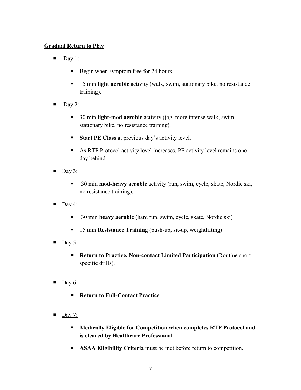#### **Gradual Return to Play**

- $\blacksquare$  Day 1:
	- Begin when symptom free for 24 hours.
	- 15 min **light aerobic** activity (walk, swim, stationary bike, no resistance training).
- $\Box$ Day 2:
	- 30 min **light-mod aerobic** activity (jog, more intense walk, swim, stationary bike, no resistance training).
	- **Start PE Class at previous day's activity level.**
	- As RTP Protocol activity level increases, PE activity level remains one day behind.
- $\Box$  Day 3:
	- 30 min **mod-heavy aerobic** activity (run, swim, cycle, skate, Nordic ski, no resistance training).
- $\Box$ Day 4:
	- 30 min **heavy aerobic** (hard run, swim, cycle, skate, Nordic ski)
	- 15 min **Resistance Training** (push-up, sit-up, weightlifting)
- $\blacksquare$  Day 5:
	- **Return to Practice, Non-contact Limited Participation** (Routine sportspecific drills).
- $\Box$  Day 6:
	- **Return to Full-Contact Practice**
- $\Box$  Day 7:
	- **Medically Eligible for Competition when completes RTP Protocol and is cleared by Healthcare Professional**
	- **ASAA Eligibility Criteria** must be met before return to competition.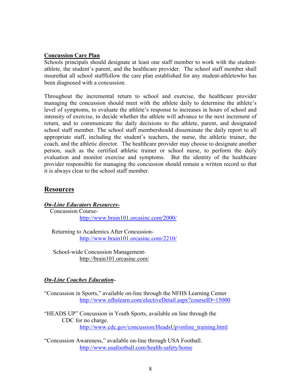#### **Concussion Care Plan**

Schools principals should designate at least one staff member to work with the studentathlete, the student's parent, and the healthcare provider. The school staff member shall insurethat all school stafffollow the care plan established for any student-athletewho has been diagnosed with a concussion.

Throughout the incremental return to school and exercise, the healthcare provider managing the concussion should meet with the athlete daily to determine the athlete's level of symptoms, to evaluate the athlete's response to increases in hours of school and intensity of exercise, to decide whether the athlete will advance to the next increment of return, and to communicate the daily decisions to the athlete, parent, and designated school staff member. The school staff membershould disseminate the daily report to all appropriate staff, including the student's teachers, the nurse, the athletic trainer, the coach, and the athletic director. The healthcare provider may choose to designate another person, such as the certified athletic trainer or school nurse, to perform the daily evaluation and monitor exercise and symptoms. But the identity of the healthcare provider responsible for managing the concussion should remain a written record so that it is always clear to the school staff member.

#### **Resources**

#### *On-Line Educators Resources-*

 Concussion Coursehttp://www.brain101.orcasinc.com/2000/

 Returning to Academics After Concussionhttp://www.brain101.orcasinc.com/2210/

 School-wide Concussion Management http://brain101.orcasinc.com/

#### *On-Line Coaches Education-*

"Concussion in Sports," available on-line through the NFHS Learning Center http://www.nfhslearn.com/electiveDetail.aspx?courseID=15000

"HEADS UP" Concussion in Youth Sports, available on line through the CDC for no charge. http://www.cdc.gov/concussion/HeadsUp/online\_training.html

"Concussion Awareness," available on-line through USA Football. http://www.usafootball.com/health-safety/home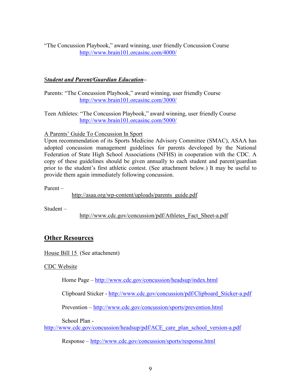"The Concussion Playbook," award winning, user friendly Concussion Course http://www.brain101.orcasinc.com/4000/

#### S*tudent and Parent/Guardian Education–*

Parents: "The Concussion Playbook," award winning, user friendly Course http://www.brain101.orcasinc.com/3000/

Teen Athletes: "The Concussion Playbook," award winning, user friendly Course http://www.brain101.orcasinc.com/5000/

#### A Parents' Guide To Concussion In Sport

Upon recommendation of its Sports Medicine Advisory Committee (SMAC), ASAA has adopted concussion management guidelines for parents developed by the National Federation of State High School Associations (NFHS) in cooperation with the CDC. A copy of these guidelines should be given annually to each student and parent/guardian prior to the student's first athletic contest. (See attachment below.) It may be useful to provide them again immediately following concussion.

Parent –

http://asaa.org/wp-content/uploads/parents\_guide.pdf

Student –

http://www.cdc.gov/concussion/pdf/Athletes\_Fact\_Sheet-a.pdf

## **Other Resources**

House Bill 15 (See attachment)

CDC Website

Home Page – http://www.cdc.gov/concussion/headsup/index.html

Clipboard Sticker - http://www.cdc.gov/concussion/pdf/Clipboard\_Sticker-a.pdf

Prevention – http://www.cdc.gov/concussion/sports/prevention.html

School Plan -

http://www.cdc.gov/concussion/headsup/pdf/ACE\_care\_plan\_school\_version-a.pdf

Response – http://www.cdc.gov/concussion/sports/response.html